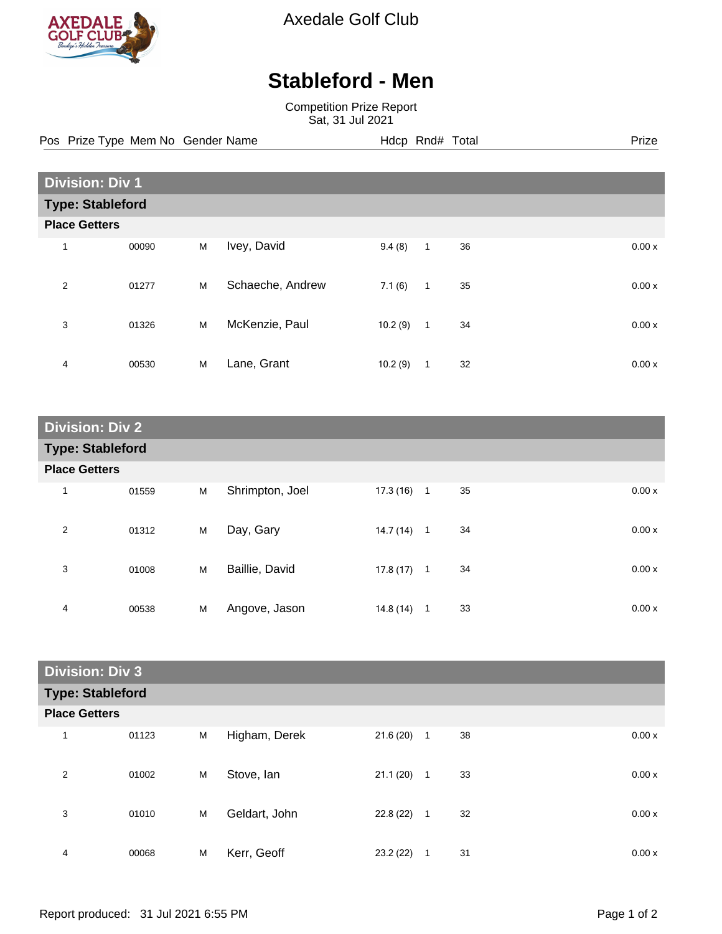

Axedale Golf Club

## **Stableford - Men**

Competition Prize Report Sat, 31 Jul 2021

Pos Prize Type Mem No Gender Name **Hdcp Rnd# Total** Prize Prize

| <b>Division: Div 1</b> |                         |   |                  |         |              |    |  |       |
|------------------------|-------------------------|---|------------------|---------|--------------|----|--|-------|
|                        | <b>Type: Stableford</b> |   |                  |         |              |    |  |       |
| <b>Place Getters</b>   |                         |   |                  |         |              |    |  |       |
| 1                      | 00090                   | M | Ivey, David      | 9.4(8)  | $\mathbf{1}$ | 36 |  | 0.00x |
| 2                      | 01277                   | M | Schaeche, Andrew | 7.1(6)  | $\mathbf{1}$ | 35 |  | 0.00x |
| 3                      | 01326                   | M | McKenzie, Paul   | 10.2(9) | $\mathbf{1}$ | 34 |  | 0.00x |
| 4                      | 00530                   | M | Lane, Grant      | 10.2(9) | 1            | 32 |  | 0.00x |

| <b>Division: Div 2</b>  |       |   |                 |           |                |    |       |
|-------------------------|-------|---|-----------------|-----------|----------------|----|-------|
| <b>Type: Stableford</b> |       |   |                 |           |                |    |       |
| <b>Place Getters</b>    |       |   |                 |           |                |    |       |
| $\mathbf{1}$            | 01559 | M | Shrimpton, Joel | 17.3 (16) | $\overline{1}$ | 35 | 0.00x |
| $\overline{2}$          | 01312 | M | Day, Gary       | 14.7 (14) | $\mathbf{1}$   | 34 | 0.00x |
| 3                       | 01008 | M | Baillie, David  | 17.8(17)  | $\overline{1}$ | 34 | 0.00x |
| 4                       | 00538 | M | Angove, Jason   | 14.8 (14) | $\mathbf{1}$   | 33 | 0.00x |

| <b>Division: Div 3</b>  |       |   |               |           |              |    |       |
|-------------------------|-------|---|---------------|-----------|--------------|----|-------|
| <b>Type: Stableford</b> |       |   |               |           |              |    |       |
| <b>Place Getters</b>    |       |   |               |           |              |    |       |
| 1                       | 01123 | M | Higham, Derek | 21.6(20)  | $\mathbf{1}$ | 38 | 0.00x |
| 2                       | 01002 | M | Stove, Ian    | 21.1(20)  | $\mathbf{1}$ | 33 | 0.00x |
| 3                       | 01010 | M | Geldart, John | 22.8 (22) | $\mathbf{1}$ | 32 | 0.00x |
| 4                       | 00068 | M | Kerr, Geoff   | 23.2(22)  | 1            | 31 | 0.00x |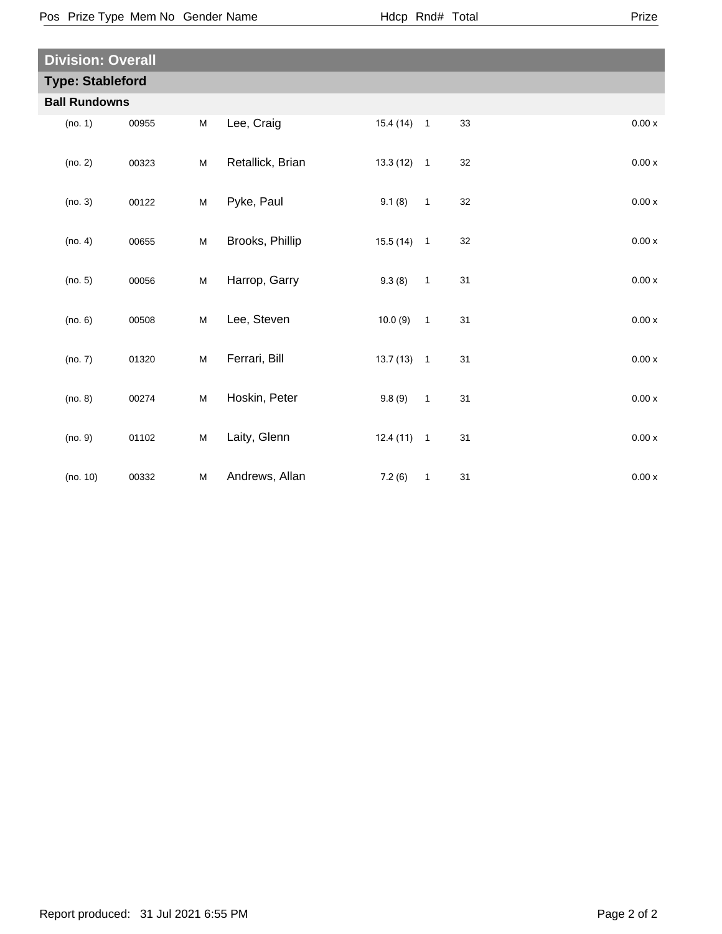|--|--|

| <b>Division: Overall</b> |                         |       |           |                  |              |              |    |         |  |
|--------------------------|-------------------------|-------|-----------|------------------|--------------|--------------|----|---------|--|
|                          | <b>Type: Stableford</b> |       |           |                  |              |              |    |         |  |
|                          | <b>Ball Rundowns</b>    |       |           |                  |              |              |    |         |  |
|                          | (no. 1)                 | 00955 | M         | Lee, Craig       | $15.4(14)$ 1 |              | 33 | 0.00x   |  |
|                          | (no. 2)                 | 00323 | M         | Retallick, Brian | $13.3(12)$ 1 |              | 32 | 0.00x   |  |
|                          | (no. 3)                 | 00122 | M         | Pyke, Paul       | 9.1(8)       | $\mathbf{1}$ | 32 | $0.00x$ |  |
|                          | (no. 4)                 | 00655 | M         | Brooks, Phillip  | $15.5(14)$ 1 |              | 32 | $0.00x$ |  |
|                          | (no. 5)                 | 00056 | ${\sf M}$ | Harrop, Garry    | 9.3(8)       | $\mathbf{1}$ | 31 | 0.00x   |  |
|                          | (no. 6)                 | 00508 | ${\sf M}$ | Lee, Steven      | 10.0(9)      | $\mathbf{1}$ | 31 | $0.00x$ |  |
|                          | (no. 7)                 | 01320 | M         | Ferrari, Bill    | $13.7(13)$ 1 |              | 31 | 0.00x   |  |
|                          | (no. 8)                 | 00274 | M         | Hoskin, Peter    | 9.8(9)       | $\mathbf{1}$ | 31 | $0.00x$ |  |
|                          | (no. 9)                 | 01102 | ${\sf M}$ | Laity, Glenn     | $12.4(11)$ 1 |              | 31 | $0.00x$ |  |
|                          | (no. 10)                | 00332 | ${\sf M}$ | Andrews, Allan   | 7.2(6)       | $\mathbf{1}$ | 31 | $0.00x$ |  |